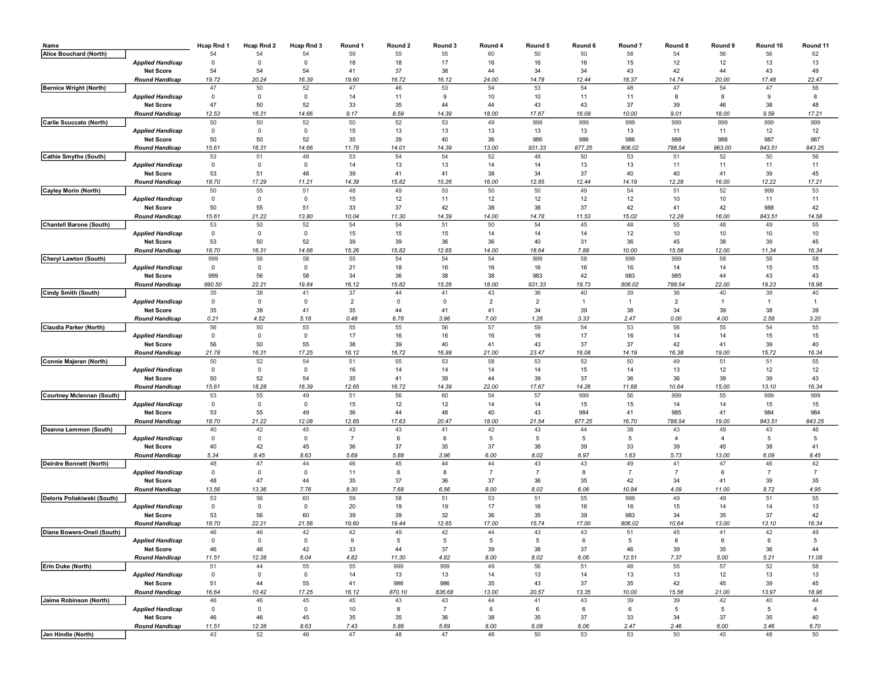| Name                        |                         | Hcap Rnd 1  | Hcap Rnd 2              | Hcap Rnd 3   | Round 1        | Round 2      | Round 3        | Round 4        | Round 5        | Round 6      | Round <sub>7</sub> | Round 8        | Round 9               | Round 10       | Round 11       |
|-----------------------------|-------------------------|-------------|-------------------------|--------------|----------------|--------------|----------------|----------------|----------------|--------------|--------------------|----------------|-----------------------|----------------|----------------|
| Alice Bouchard (North)      |                         | 54          | 54                      | 54           | 59             | 55           | 55             | 60             | 50             | 50           | 58                 | 54             | 56                    | 56             | 62             |
|                             | <b>Applied Handicap</b> | 0           | $\mathbf 0$             | $\Omega$     | 18             | 18           | 17             | 16             | 16             | 16           | 15                 | 12             | 12                    | 13             | 13             |
|                             | <b>Net Score</b>        | 54          | 54                      | 54           | 41             | 37           | 38             | 44             | 34             | 34           | 43                 | 42             | 44                    | 43             | 49             |
|                             | <b>Round Handicap</b>   | 19.72       | 20.24                   | 16.39        | 19.60          | 16.72        | 16.12          | 24.00          | 14.78          | 12.44        | 18.37              | 14.74          | 20.00                 | 17.48          | 22.47          |
| Bernice Wright (North)      |                         | 47          | 50                      | 52           | 47             | 46           | 53             | 54             | 53             | 54           | 48                 | 47             | 54                    | 47             | 56             |
|                             | <b>Applied Handicap</b> | $\mathbf 0$ | $\mathbf{0}$            | 0            | 14             | 11           | 9              | 10             | 10             | 11           | 11                 | 8              | 8                     | 9              | 8              |
|                             | <b>Net Score</b>        | 47          | 50                      | 52           | 33             | 35           | 44             | 44             | 43             | 43           | 37                 | 39             | 46                    | 38             | 48             |
|                             | <b>Round Handicap</b>   | 12.53       | 16.31                   | 14.66        | 9.17           | 8.59         | 14.39          | 18.00          | 17.67          | 16.08        | 10.00              | 9.01           | 18.00                 | 9.59           | 17.21          |
| Carlie Scuccato (North)     |                         | 50          | 50                      | 52           | 50             | 52           | 53             | 49             | 999            | 999          | 999                | 999            | 999                   | 999            | 999            |
|                             | <b>Applied Handicap</b> | 0           | $\overline{\mathbf{0}}$ | $\mathbf{0}$ | 15             | 13           | 13             | 13             | 13             | 13           | 13                 | 11             | 11                    | 12             | 12             |
|                             | <b>Net Score</b>        | 50          | 50                      | 52           | 35             | 39           | 40             | 36             | 986            | 986          | 986                | 988            | 988                   | 987            | 987            |
| Cathie Smythe (South)       | <b>Round Handicap</b>   | 15.61<br>53 | 16.31<br>51             | 14.66<br>48  | 11.78<br>53    | 14.01<br>54  | 14.39<br>54    | 13.00<br>52    | 931.33<br>48   | 877.25<br>50 | 806.02<br>53       | 788.54<br>51   | 963.00<br>52          | 843.51<br>50   | 843.25<br>56   |
|                             | <b>Applied Handicap</b> | 0           | 0                       | 0            | 14             | 13           | 13             | 14             | 14             | 13           | 13                 | 11             | 11                    | 11             | 11             |
|                             | <b>Net Score</b>        | 53          | 51                      | 48           | 39             | 41           | 41             | 38             | 34             | 37           | 40                 | 40             | 41                    | 39             | 45             |
|                             | <b>Round Handicap</b>   | 18.70       | 17.29                   | 11.21        | 14.39          | 15.82        | 15.26          | 16.00          | 12.85          | 12.44        | 14.19              | 12.28          | 16.00                 | 12.22          | 17.21          |
| Cayley Morin (North)        |                         | 50          | 55                      | 51           | 48             | 49           | 53             | 50             | 50             | 49           | 54                 | 51             | 52                    | 999            | 53             |
|                             | <b>Applied Handicap</b> | 0           | $\overline{\mathbf{0}}$ | $\mathbf{0}$ | 15             | 12           | 11             | 12             | 12             | 12           | 12                 | $10$           | $10$                  | 11             | 11             |
|                             | <b>Net Score</b>        | 50          | 55                      | 51           | 33             | 37           | 42             | 38             | 38             | 37           | 42                 | 41             | 42                    | 988            | 42             |
|                             | <b>Round Handicap</b>   | 15.61       | 21.22                   | 13.80        | 10.04          | 11.30        | 14.39          | 14.00          | 14.78          | 11.53        | 15.02              | 12.28          | 16.00                 | 843.51         | 14.58          |
| Chantell Barone (South)     |                         | 53          | 50                      | 52           | 54             | 54           | 51             | 50             | 54             | 45           | 48                 | 55             | 48                    | 49             | 55             |
|                             | <b>Applied Handicap</b> | 0           | $\mathbf 0$             | $\mathbf{0}$ | 15             | 15           | 15             | 14             | 14             | 14           | 12                 | 10             | 10                    | 10             | 10             |
|                             | <b>Net Score</b>        | 53          | 50                      | 52           | 39             | 39           | 36             | 36             | 40             | 31           | 36                 | 45             | 38                    | 39             | 45             |
|                             | <b>Round Handicap</b>   | 18.70       | 16.31                   | 14.66        | 15.26          | 15.82        | 12.65          | 14.00          | 18.64          | 7.88         | 10.00              | 15.56          | 12.00                 | 11.34          | 16.34          |
| Cheryl Lawton (South)       |                         | 999         | 56                      | 58           | 55             | 54           | 54             | 54             | 999            | 58           | 999                | 999            | 58                    | 58             | 58             |
|                             | <b>Applied Handicap</b> | 0           | $\overline{\mathbf{0}}$ | 0            | 21             | 18           | 16             | 16             | 16             | 16           | 16                 | 14             | 14                    | 15             | 15             |
|                             | <b>Net Score</b>        | 999         | 56                      | 58           | 34             | 36           | 38             | 38             | 983            | 42           | 983                | 985            | 44                    | 43             | 43             |
|                             | <b>Round Handicap</b>   | 990.50      | 22.21                   | 19.84        | 16.12          | 15.82        | 15.26          | 18.00          | 931.33         | 19.73        | 806.02             | 788.54         | 22.00                 | 19.23          | 18.96          |
| Cindy Smith (South)         |                         | 35          | 38                      | 41           | 37             | 44           | 41             | 43             | 36             | 40           | 39                 | 36             | 40                    | 39             | 40             |
|                             | <b>Applied Handicap</b> | 0           | $\mathbf{0}$            | 0            | $\overline{2}$ | $\mathbf 0$  | $\mathbf 0$    | $\overline{2}$ | $\overline{2}$ |              | 1                  | $\overline{2}$ | $\overline{1}$        | $\mathbf{1}$   | $\overline{1}$ |
|                             | <b>Net Score</b>        | 35          | 38                      | 41           | 35             | 44           | 41             | 41             | 34             | 39           | 38                 | 34             | 39                    | 38             | 39             |
|                             | <b>Round Handicap</b>   | 0.21        | 4.52                    | 5.18         | 0.48           | 6.78         | 3.96           | 7.00           | 1.26           | 3.33         | 2.47               | 0.00           | 4.00                  | 2.58           | 3.20           |
| Claudia Parker (North)      |                         | 56          | 50                      | 55           | 55             | 55           | 56             | 57             | 59             | 54           | 53                 | 56             | 55                    | 54             | 55             |
|                             | <b>Applied Handicap</b> | 0           | $\overline{\mathbf{0}}$ | 0            | 17             | 16           | 16             | 16             | 16             | 17           | 16                 | 14             | 14                    | 15             | 15             |
|                             | <b>Net Score</b>        | 56          | 50                      | 55           | 38             | 39           | 40             | 41             | 43             | 37           | 37                 | 42             | 41                    | 39             | 40             |
|                             | <b>Round Handicap</b>   | 21.78       | 16.31                   | 17.25        | 16.12          | 16.72        | 16.99          | 21.00          | 23.47          | 16.08        | 14.19              | 16.38          | 19.00                 | 15.72          | 16.34          |
| Connie Majeran (North)      |                         | 50          | 52                      | 54           | 51             | 55           | 53             | 58             | 53             | 52           | 50                 | 49             | 51                    | 51             | 55             |
|                             | Applied Handicap        | 0           | $\overline{0}$          | 0            | 16             | 14           | 14             | 14             | 14             | 15           | 14                 | 13             | 12                    | 12             | 12             |
|                             | <b>Net Score</b>        | 50          | 52                      | 54           | 35             | 41           | 39             | 44             | 39             | 37           | 36                 | 36             | 39                    | 39             | 43             |
|                             | <b>Round Handicap</b>   | 15.61       | 18.28                   | 16.39        | 12.65          | 16.72        | 14.39          | 22.00          | 17.67          | 14.26        | 11.68              | 10.64          | 15.00                 | 13.10          | 16.34          |
| Courtney Mclennan (South)   | <b>Applied Handicap</b> | 53<br>0     | 55<br>$\mathbf 0$       | 49<br>0      | 51<br>15       | 56<br>12     | 60<br>12       | 54<br>14       | 57<br>14       | 999<br>15    | 56<br>15           | 999<br>14      | 55<br>14              | 999<br>15      | 999<br>15      |
|                             | <b>Net Score</b>        | 53          | 55                      | 49           | 36             | 44           | 48             | 40             | 43             | 984          | 41                 | 985            | 41                    | 984            | 984            |
|                             | <b>Round Handicap</b>   | 18.70       | 21.22                   | 12.08        | 12.65          | 17.63        | 20.47          | 18.00          | 21.54          | 877.25       | 16.70              | 788.54         | 19.00                 | 843.51         | 843.25         |
| Deanna Lemmon (South)       |                         | 40          | 42                      | 45           | 43             | 43           | 41             | 42             | 43             | 44           | 38                 | 43             | 49                    | 43             | 46             |
|                             | <b>Applied Handicap</b> | 0           | $\overline{\mathbf{0}}$ | 0            | $\overline{7}$ | 6            | 6              | 5              | -5             | -5           | 5                  | $\overline{4}$ | $\overline{4}$        | 5              | 5              |
|                             | <b>Net Score</b>        | 40          | 42                      | 45           | 36             | 37           | 35             | 37             | 38             | 39           | 33                 | 39             | 45                    | 38             | 41             |
|                             | <b>Round Handicap</b>   | 5.34        | 8.45                    | 8.63         | 5.69           | 5.88         | 3.96           | 6.00           | 8.02           | 6.97         | 1.63               | 5.73           | 13.00                 | 6.09           | 8.45           |
| Deirdre Bonnett (North)     |                         | 48          | 47                      | 44           | 46             | 45           | 44             | 44             | 43             | 43           | 49                 | 41             | 47                    | 46             | 42             |
|                             | <b>Applied Handicap</b> | 0           | $\mathbf 0$             | 0            | 11             | 8            | 8              | $\overline{7}$ | $\overline{7}$ | 8            | $\overline{7}$     | $\overline{7}$ | 6                     | $\overline{7}$ | $\overline{7}$ |
|                             | <b>Net Score</b>        | 48          | 47                      | 44           | 35             | 37           | 36             | 37             | 36             | 35           | 42                 | 34             | 41                    | 39             | 35             |
|                             | <b>Round Handicap</b>   | 13.56       | 13.36                   | 7.76         | 8.30           | 7.68         | 6.56           | 8.00           | 8.02           | 6.06         | 10.84              | 4.09           | 11.00                 | 8.72           | 4.95           |
| Deloris Poliakiwski (South) |                         | 53          | 56                      | 60           | 59             | 58           | 51             | 53             | 51             | 55           | 999                | 49             | 49                    | 51             | 55             |
|                             | Applied Handicap        | 0           | $\mathbf 0$             | 0            | 20             | 19           | 19             | 17             | 16             | 16           | 16                 | 15             | 14                    | 14             | 13             |
|                             | <b>Net Score</b>        | 53          | 56                      | 60           | 39             | 39           | 32             | 36             | 35             | 39           | 983                | 34             | 35                    | 37             | 42             |
|                             | <b>Round Handicap</b>   | 18.70       | 22.21                   | 21.56        | 19.60          | 19.44        | 12.65          | 17.00          | 15.74          | 17.00        | 806.02             | 10.64          | 13.00                 | 13.10          | 16.34          |
| Diane Bowers-Oneil (South)  |                         | 46          | 46                      | 42           | 42             | 49           | 42             | 44             | 43             | 43           | 51                 | 45             | 41                    | 42             | 49             |
|                             | Applied Handicap        | 0           | U                       | U            | <u>a</u>       | ¢            | <sub>5</sub>   | G              | <sub>5</sub>   | b            | G                  | 6              | b                     | b              | $\mathbf{p}$   |
|                             | <b>Net Score</b>        | 46          | 46                      | 42           | 33             | 44           | 37             | 39             | 38             | 37           | 46                 | 39             | 35                    | 36             | 44             |
|                             | <b>Round Handicap</b>   | 11.51       | 12.38                   | 6.04         | 4.82           | 11.30        | 4.82           | 8.00           | 8.02           | 6.06         | 12.51              | 7.37           | 5.00                  | 5.21           | 11.08          |
| Erin Duke (North)           |                         | 51          | 44                      | 55           | 55             | 999          | 999            | 49             | 56             | 51           | 48                 | 55             | 57                    | 52             | 58             |
|                             | <b>Applied Handicap</b> | 0           | $\mathbf 0$             | $\mathbf{0}$ | 14             | 13           | 13             | 14             | 13             | 14           | 13                 | 13             | 12                    | 13             | 13             |
|                             | <b>Net Score</b>        | 51          | 44                      | 55           | 41             | 986          | 986            | 35             | 43             | 37           | 35                 | 42             | 45                    | 39             | 45             |
|                             | <b>Round Handicap</b>   | 16.64       | 10.42<br>46             | 17.25<br>45  | 16.12<br>45    | 870.10<br>43 | 836.68<br>43   | 13.00<br>44    | 20.57          | 13.35<br>43  | 10.00              | 15.56          | 21.00                 | 13.97          | 18.96<br>44    |
| Jaime Robinson (North)      | <b>Applied Handicap</b> | 46<br>0     | $\overline{\mathbf{0}}$ | $\mathbf 0$  | 10             | 8            | $\overline{7}$ | 6              | 41<br>6        |              | 39<br>6            | 39<br>5        | 42                    | 40             | $\overline{4}$ |
|                             | <b>Net Score</b>        | 46          | 46                      | 45           | 35             | 35           | 36             | 38             | 35             | 6<br>37      | 33                 | 34             | $5\phantom{.0}$<br>37 | 5<br>35        | 40             |
|                             | <b>Round Handicap</b>   | 11.51       | 12.38                   | 8.63         | 7.43           | 5.88         | 5.69           | 8.00           | 6.08           | 6.06         | 2.47               | 2.46           | 6.00                  | 3.46           | 6.70           |
| Jen Hindle (North)          |                         | 43          | 52                      | 46           | 47             | 48           | 47             | 48             | 50             | 53           | 53                 | 50             | 45                    | 48             | 50             |
|                             |                         |             |                         |              |                |              |                |                |                |              |                    |                |                       |                |                |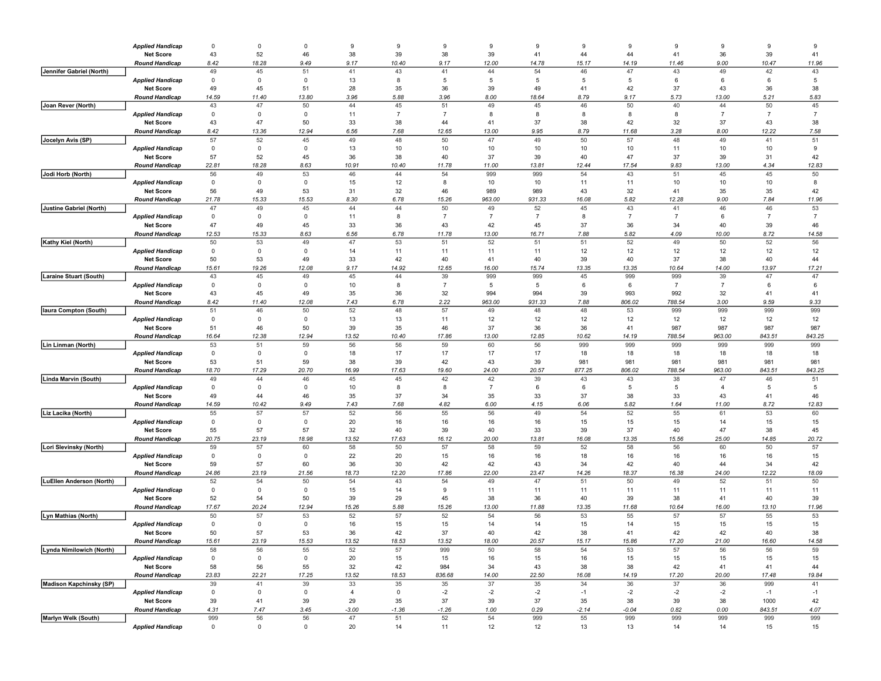|                          | <b>Applied Handicap</b>                     | $\mathbf 0$ | $\mathbf{0}$      | $\mathbf 0$ | 9           | 9               | 9                    | 9                    | 9                    | 9           | 9                    | 9                    | 9              | 9                    | 9                    |
|--------------------------|---------------------------------------------|-------------|-------------------|-------------|-------------|-----------------|----------------------|----------------------|----------------------|-------------|----------------------|----------------------|----------------|----------------------|----------------------|
|                          | <b>Net Score</b>                            | 43          | 52                | 46          | 38          | 39              | 38                   | 39                   | 41                   | 44          | 44                   | 41                   | 36             | 39                   | 41                   |
|                          | <b>Round Handicap</b>                       | 8.42        | 18.28             | 9.49        | 9.17        | 10.40           | 9.17                 | 12.00                | 14.78                | 15.17       | 14.19                | 11.46                | 9.00           | 10.47                | 11.96                |
| Jennifer Gabriel (North) |                                             | 49          | 45                | 51          | 41          | 43              | 41                   | 44                   | 54                   | 46          | 47                   | 43                   | 49             | 42                   | 43                   |
|                          | <b>Applied Handicap</b>                     | 0           | $\mathsf 0$       | 0           | 13          | 8               | 5                    | 5                    | 5                    | 5           | 5                    | 6                    | 6              | 6                    | 5                    |
|                          | <b>Net Score</b>                            | 49          | 45                | 51          | 28          | 35              | 36                   | 39                   | 49                   | 41          | 42                   | 37                   | 43             | 36                   | 38                   |
|                          | <b>Round Handicap</b>                       | 14.59<br>43 | 11.40<br>47       | 13.80<br>50 | 3.96<br>44  | 5.88<br>45      | 3.96<br>51           | 8.00<br>49           | 18.64<br>45          | 8.79<br>46  | 9.17<br>50           | 5.73<br>40           | 13.00<br>44    | 5.21<br>50           | 5.83<br>45           |
| Joan Rever (North)       | <b>Applied Handicap</b>                     | $\mathbf 0$ | 0                 | $\mathbf 0$ | 11          | $\overline{7}$  | $\overline{7}$       | 8                    | 8                    | 8           | -8                   | 8                    | $\overline{7}$ | $\overline{7}$       | $\overline{7}$       |
|                          | <b>Net Score</b>                            | 43          | 47                | 50          | 33          | 38              | 44                   | 41                   | 37                   | 38          | 42                   | 32                   | 37             | 43                   | 38                   |
|                          | <b>Round Handicap</b>                       | 8.42        | 13.36             | 12.94       | 6.56        | 7.68            | 12.65                | 13.00                | 9.95                 | 8.79        | 11.68                | 3.28                 | 8.00           | 12.22                | 7.58                 |
| Jocelyn Avis (SP)        |                                             | 57          | 52                | 45          | 49          | 48              | 50                   | 47                   | 49                   | 50          | 57                   | 48                   | 49             | 41                   | 51                   |
|                          | <b>Applied Handicap</b>                     | 0           | $\mathsf 0$       | 0           | 13          | 10              | 10                   | 10                   | 10                   | 10          | 10                   | 11                   | 10             | 10                   | 9                    |
|                          | <b>Net Score</b>                            | 57          | 52                | 45          | 36          | 38              | 40                   | 37                   | 39                   | 40          | 47                   | 37                   | 39             | 31                   | 42                   |
|                          | <b>Round Handicap</b>                       | 22.81       | 18.28             | 8.63        | 10.91       | 10.40           | 11.78                | 11.00                | 13.81                | 12.44       | 17.54                | 9.83                 | 13.00          | 4.34                 | 12.83                |
| Jodi Horb (North)        |                                             | 56          | 49                | 53          | 46          | 44              | 54                   | 999                  | 999                  | 54          | 43                   | 51                   | 45             | 45                   | 50                   |
|                          | <b>Applied Handicap</b>                     | $\mathbf 0$ | 0                 | 0           | 15          | 12              | 8                    | 10                   | 10                   | 11          | 11                   | 10                   | 10             | 10                   | 8                    |
|                          | <b>Net Score</b>                            | 56          | 49                | 53          | 31          | 32              | 46                   | 989                  | 989                  | 43          | 32                   | 41                   | 35             | 35                   | 42                   |
|                          | <b>Round Handicap</b>                       | 21.78       | 15.33             | 15.53       | 8.30        | 6.78            | 15.26                | 963.00               | 931.33               | 16.08       | 5.82                 | 12.28                | 9.00           | 7.84                 | 11.96                |
| Justine Gabriel (North)  |                                             | 47          | 49                | 45          | 44          | 44              | 50<br>$\overline{7}$ | 49<br>$\overline{7}$ | 52<br>$\overline{7}$ | 45          | 43<br>$\overline{7}$ | 41<br>$\overline{7}$ | 46             | 46<br>$\overline{7}$ | 53<br>$\overline{7}$ |
|                          | <b>Applied Handicap</b><br><b>Net Score</b> | 0<br>47     | $\mathsf 0$<br>49 | 0<br>45     | 11<br>33    | 8<br>36         | 43                   | 42                   | 45                   | 8<br>37     | 36                   | 34                   | 6<br>40        | 39                   | 46                   |
|                          | <b>Round Handicap</b>                       | 12.53       | 15.33             | 8.63        | 6.56        | 6.78            | 11.78                | 13.00                | 16.71                | 7.88        | 5.82                 | 4.09                 | 10.00          | 8.72                 | 14.58                |
| Kathy Kiel (North)       |                                             | 50          | 53                | 49          | 47          | 53              | 51                   | 52                   | 51                   | 51          | 52                   | 49                   | 50             | 52                   | 56                   |
|                          | <b>Applied Handicap</b>                     | $\mathbf 0$ | 0                 | $\mathbf 0$ | 14          | 11              | 11                   | 11                   | 11                   | 12          | 12                   | 12                   | 12             | 12                   | 12                   |
|                          | <b>Net Score</b>                            | 50          | 53                | 49          | 33          | 42              | 40                   | 41                   | 40                   | 39          | 40                   | 37                   | 38             | 40                   | 44                   |
|                          | Round Handicap                              | 15.61       | 19.26             | 12.08       | 9.17        | 14.92           | 12.65                | 16.00                | 15.74                | 13.35       | 13.35                | 10.64                | 14.00          | 13.97                | 17.21                |
| Laraine Stuart (South)   |                                             | 43          | 45                | 49          | 45          | 44              | 39                   | 999                  | 999                  | 45          | 999                  | 999                  | 39             | 47                   | 47                   |
|                          | <b>Applied Handicap</b>                     | 0           | $\mathsf 0$       | 0           | 10          | 8               | $\overline{7}$       | 5                    | 5                    | 6           | 6                    | $\overline{7}$       | $\overline{7}$ | 6                    | 6                    |
|                          | <b>Net Score</b>                            | 43          | 45                | 49          | 35          | 36              | 32                   | 994                  | 994                  | 39          | 993                  | 992                  | 32             | 41                   | 41                   |
|                          | <b>Round Handicap</b>                       | 8.42<br>51  | 11.40             | 12.08<br>50 | 7.43<br>52  | 6.78<br>48      | 2.22<br>57           | 963.00               | 931.33               | 7.88        | 806.02<br>53         | 788.54<br>999        | 3.00<br>999    | 9.59<br>999          | 9.33<br>999          |
| laura Compton (South)    | <b>Applied Handicap</b>                     | $\mathbf 0$ | 46<br>0           | 0           | 13          | 13              | 11                   | 49<br>12             | 48<br>12             | 48<br>12    | 12                   | 12                   | 12             | 12                   | 12                   |
|                          | <b>Net Score</b>                            | 51          | 46                | 50          | 39          | 35              | 46                   | 37                   | 36                   | 36          | 41                   | 987                  | 987            | 987                  | 987                  |
|                          | <b>Round Handicap</b>                       | 16.64       | 12.38             | 12.94       | 13.52       | 10.40           | 17.86                | 13.00                | 12.85                | 10.62       | 14.19                | 788.54               | 963.00         | 843.51               | 843.25               |
| Lin Linman (North)       |                                             | 53          | 51                | 59          | 56          | 56              | 59                   | 60                   | 56                   | 999         | 999                  | 999                  | 999            | 999                  | 999                  |
|                          | <b>Applied Handicap</b>                     | 0           | $\mathsf 0$       | 0           | 18          | 17              | 17                   | 17                   | 17                   | 18          | 18                   | 18                   | 18             | 18                   | 18                   |
|                          | <b>Net Score</b>                            | 53          | 51                | 59          | 38          | 39              | 42                   | 43                   | 39                   | 981         | 981                  | 981                  | 981            | 981                  | 981                  |
|                          | <b>Round Handicap</b>                       | 18.70       | 17.29             | 20.70       | 16.99       | 17.63           | 19.60                | 24.00                | 20.57                | 877.25      | 806.02               | 788.54               | 963.00         | 843.51               | 843.25               |
| Linda Marvin (South)     |                                             | 49          | 44                | 46          | 45          | 45              | 42                   | 42                   | 39                   | 43          | 43                   | 38                   | 47             | 46                   | 51                   |
|                          | <b>Applied Handicap</b>                     | $\mathbf 0$ | $\mathbf 0$       | $\mathbf 0$ | 10          | 8               | 8                    | $\overline{7}$       | 6                    | 6           | 5                    | 5                    | $\overline{4}$ | 5                    | 5                    |
|                          | <b>Net Score</b>                            | 49          | 44                | 46          | 35          | 37              | 34                   | 35                   | 33                   | 37          | 38                   | 33                   | 43             | 41                   | 46                   |
| Liz Lacika (North)       | <b>Round Handicap</b>                       | 14.59<br>55 | 10.42<br>57       | 9.49<br>57  | 7.43<br>52  | 7.68<br>56      | 4.82<br>55           | 6.00<br>56           | 4.15<br>49           | 6.06<br>54  | 5.82<br>52           | 1.64<br>55           | 11.00<br>61    | 8.72<br>53           | 12.83<br>60          |
|                          | <b>Applied Handicap</b>                     | 0           | $\mathsf 0$       | 0           | 20          | 16              | 16                   | 16                   | 16                   | 15          | 15                   | 15                   | 14             | 15                   | 15                   |
|                          | <b>Net Score</b>                            | 55          | 57                | 57          | 32          | 40              | 39                   | 40                   | 33                   | 39          | 37                   | 40                   | 47             | 38                   | 45                   |
|                          | <b>Round Handicap</b>                       | 20.75       | 23.19             | 18.98       | 13.52       | 17.63           | 16.12                | 20.00                | 13.81                | 16.08       | 13.35                | 15.56                | 25.00          | 14.85                | 20.72                |
| Lori Slevinsky (North)   |                                             | 59          | 57                | 60          | 58          | 50              | 57                   | 58                   | 59                   | 52          | 58                   | 56                   | 60             | 50                   | 57                   |
|                          | <b>Applied Handicap</b>                     | $\mathbf 0$ | $\mathbf 0$       | $\mathbf 0$ | 22          | 20              | 15                   | 16                   | 16                   | 18          | 16                   | 16                   | 16             | 16                   | 15                   |
|                          | <b>Net Score</b>                            | 59          | 57                | 60          | 36          | 30              | 42                   | 42                   | 43                   | 34          | 42                   | 40                   | 44             | 34                   | 42                   |
|                          | <b>Round Handicap</b>                       | 24.86       | 23.19             | 21.56       | 18.73       | 12.20           | 17.86                | 22.00                | 23.47                | 14.26       | 18.37                | 16.38                | 24.00          | 12.22                | 18.09                |
| LuEllen Anderson (North) |                                             | 52          | 54                | 50          | 54          | 43              | 54                   | 49                   | 47                   | 51          | 50                   | 49                   | 52             | 51                   | 50                   |
|                          | <b>Applied Handicap</b><br><b>Net Score</b> | 0<br>52     | 0<br>54           | 0<br>50     | 15<br>39    | 14<br>29        | 9<br>45              | 11<br>38             | 11<br>36             | 11<br>40    | 11<br>39             | 11<br>38             | 11<br>41       | 11<br>40             | 11<br>39             |
|                          | <b>Round Handicap</b>                       | 17.67       | 20.24             | 12.94       | 15.26       | 5.88            | 15.26                | 13.00                | 11.88                | 13.35       | 11.68                | 10.64                | 16.00          | 13.10                | 11.96                |
| Lyn Mathias (North)      |                                             | 50          | 57                | 53          | 52          | 57              | 52                   | 54                   | 56                   | 53          | 55                   | 57                   | 57             | 55                   | 53                   |
|                          | <b>Applied Handicap</b>                     | $\mathbf 0$ | 0                 | 0           | 16          | 15              | 15                   | 14                   | 14                   | 15          | 14                   | 15                   | 15             | 15                   | 15                   |
|                          | <b>Net Score</b>                            | 50          | 57                | 53          | 36          | 42              | 37                   | 40                   | 42                   | 38          | 41                   | 42                   | 42             | 40                   | 38                   |
|                          | Rouna Handicap                              | 15.61       | 23.19             | 15.53       | 13.52       | 18.53           | 13.52                | 18.00                | 20.57                | 15.17       | 15.86                | 17.20                | 21.00          | 16.60                | 14.58                |
| Lynda Nimilowich (North) |                                             | 58          | 56                | 55          | 52          | 57              | 999                  | 50                   | 58                   | 54          | 53                   | 57                   | 56             | 56                   | 59                   |
|                          | <b>Applied Handicap</b>                     | 0           | $\mathsf 0$       | 0           | 20          | 15              | 15                   | 16                   | 15                   | 16          | 15                   | 15                   | 15             | 15                   | 15                   |
|                          | <b>Net Score</b>                            | 58          | 56                | 55          | 32          | 42              | 984                  | 34                   | 43                   | 38          | 38                   | 42                   | 41             | 41                   | 44                   |
| Madison Kapchinsky (SP)  | <b>Round Handicap</b>                       | 23.83<br>39 | 22.21<br>41       | 17.25<br>39 | 13.52<br>33 | 18.53<br>$35\,$ | 836.68               | 14.00<br>37          | 22.50<br>35          | 16.08<br>34 | 14.19<br>36          | 17.20<br>37          | 20.00<br>36    | 17.48<br>999         | 19.84<br>41          |
|                          | <b>Applied Handicap</b>                     | $\mathbf 0$ | $\mathsf 0$       | 0           | 4           | $\mathsf 0$     | 35<br>$-2$           | $-2$                 | $-2$                 | $-1$        | $-2$                 | $-2$                 | $-2$           | $-1$                 | $-1$                 |
|                          | <b>Net Score</b>                            | 39          | 41                | 39          | 29          | 35              | 37                   | 39                   | 37                   | 35          | 38                   | 39                   | 38             | 1000                 | 42                   |
|                          | <b>Round Handicap</b>                       | 4.31        | 7.47              | 3.45        | $-3.00$     | $-1.36$         | $-1.26$              | 1.00                 | 0.29                 | $-2.14$     | $-0.04$              | 0.82                 | 0.00           | 843.51               | 4.07                 |
| Marlyn Welk (South)      |                                             | 999         | 56                | 56          | 47          | 51              | 52                   | 54                   | 999                  | 55          | 999                  | 999                  | 999            | 999                  | 999                  |
|                          | <b>Applied Handicap</b>                     | $\mathbf 0$ | $\mathbf 0$       | $\mathbf 0$ | 20          | 14              | 11                   | 12                   | 12                   | 13          | 13                   | 14                   | 14             | 15                   | 15                   |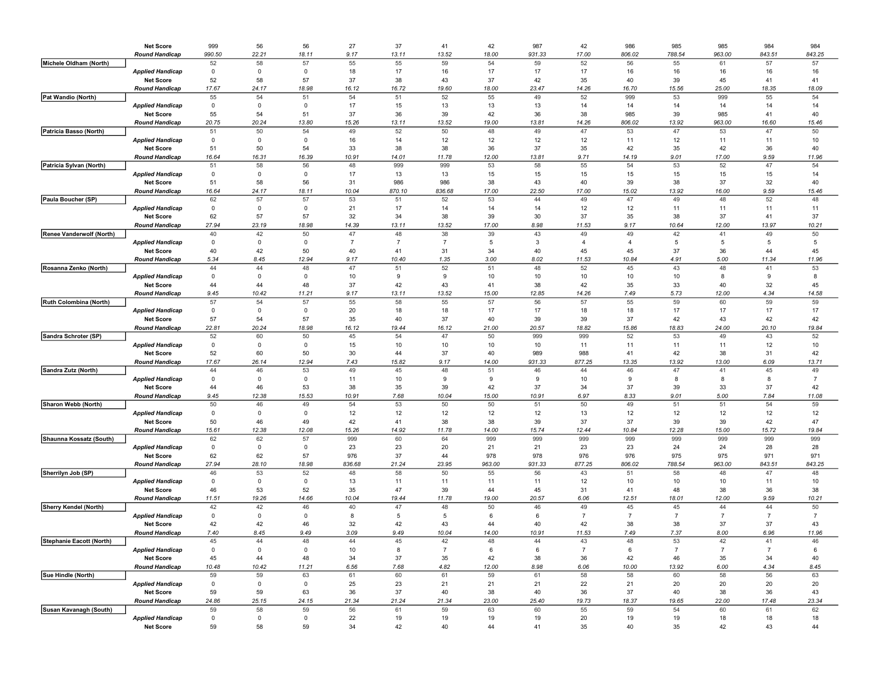|                              | <b>Net Score</b>                            | 999               | 56           | 56          | 27             | 37             | 41                   | 42          | 987      | 42             | 986            | 985            | 985                  | 984            | 984            |
|------------------------------|---------------------------------------------|-------------------|--------------|-------------|----------------|----------------|----------------------|-------------|----------|----------------|----------------|----------------|----------------------|----------------|----------------|
|                              | <b>Round Handicap</b>                       | 990.50            | 22.21        | 18.11       | 9.17           | 13.11          | 13.52                | 18.00       | 931.33   | 17.00          | 806.02         | 788.54         | 963.00               | 843.51         | 843.25         |
| Michele Oldham (North)       |                                             | 52                | 58           | 57          | 55             | 55             | 59                   | 54          | 59       | 52             | 56             | 55             | 61                   | 57             | 57             |
|                              | <b>Applied Handicap</b>                     | $\mathbf 0$       | 0            | 0           | 18             | 17             | 16                   | 17          | 17       | 17             | 16             | 16             | 16                   | 16             | 16             |
|                              | <b>Net Score</b>                            | 52                | 58           | 57          | 37             | 38             | 43                   | 37          | 42       | 35             | 40             | 39             | 45                   | 41             | 41             |
|                              | <b>Round Handicap</b>                       | 17.67             | 24.17        | 18.98       | 16.12          | 16.72          | 19.60                | 18.00       | 23.47    | 14.26          | 16.70          | 15.56          | 25.00                | 18.35          | 18.09          |
| Pat Wandio (North)           |                                             | 55                | 54           | 51          | 54             | 51             | 52                   | 55          | 49       | 52             | 999            | 53             | 999                  | 55             | 54             |
|                              | <b>Applied Handicap</b>                     | $\mathbf 0$       | $\mathbf 0$  | 0           | 17             | 15             | 13                   | 13          | 13       | 14             | 14             | 14             | 14                   | 14             | 14             |
|                              | <b>Net Score</b>                            | 55                | 54           | 51          | 37             | 36             | 39                   | 42          | 36       | 38             | 985            | 39             | 985                  | 41             | 40             |
|                              | <b>Round Handicap</b>                       | 20.75             | 20.24        | 13.80       | 15.26          | 13.11          | 13.52                | 19.00       | 13.81    | 14.26          | 806.02         | 13.92          | 963.00               | 16.60          | 15.46          |
| Patricia Basso (North)       |                                             | 51                | 50           | 54          | 49             | 52             | 50                   | 48          | 49       | 47             | 53             | 47             | 53                   | 47             | 50             |
|                              | <b>Applied Handicap</b>                     | 0                 | 0            | 0           | 16             | 14             | 12                   | 12          | 12       | 12             | 11             | 12             | 11                   | 11             | 10             |
|                              | <b>Net Score</b>                            | 51                | 50           | 54          | 33             | 38             | 38                   | 36          | 37       | 35             | 42             | 35             | 42                   | 36             | 40             |
|                              | <b>Round Handicap</b>                       | 16.64             | 16.31        | 16.39       | 10.91          | 14.01          | 11.78                | 12.00       | 13.81    | 9.71           | 14.19          | 9.01           | 17.00                | 9.59           | 11.96          |
| Patricia Sylvan (North)      |                                             | 51                | 58           | 56          | 48             | 999            | 999                  | 53          | 58       | 55             | 54             | 53             | 52                   | 47             | 54             |
|                              | <b>Applied Handicap</b>                     | $\mathbf 0$       | $\mathsf 0$  | 0           | 17             | 13             | 13                   | 15          | 15       | 15             | 15             | 15             | 15                   | 15             | 14             |
|                              | <b>Net Score</b>                            | 51                | 58           | 56          | 31             | 986            | 986                  | 38          | 43       | 40             | 39             | 38             | 37                   | 32             | 40             |
|                              | <b>Round Handicap</b>                       | 16.64             | 24.17        | 18.11       | 10.04          | 870.10         | 836.68               | 17.00       | 22.50    | 17.00          | 15.02          | 13.92          | 16.00                | 9.59           | 15.46          |
| Paula Boucher (SP)           |                                             | 62                | 57           | 57          | 53             | 51             | 52                   | 53          | 44       | 49             | 47             | 49             | 48                   | 52             | 48             |
|                              | <b>Applied Handicap</b>                     | 0                 | $\mathsf 0$  | 0           | 21             | 17             | 14                   | 14          | 14       | 12             | 12             | 11             | 11                   | 11             | 11             |
|                              | <b>Net Score</b>                            | 62                | 57           | 57          | 32             | 34             | 38                   | 39          | 30       | 37             | 35             | 38             | 37                   | 41             | 37             |
|                              | <b>Round Handicap</b>                       | 27.94             | 23.19        | 18.98       | 14.39          | 13.11          | 13.52                | 17.00       | 8.98     | 11.53          | 9.17           | 10.64          | 12.00                | 13.97          | 10.21          |
| Renee Vanderwolf (North)     |                                             | 40                | 42           | 50          | 47             | 48             | 38                   | 39          | 43       | 49             | 49             | 42             | 41                   | 49             | 50             |
|                              | <b>Applied Handicap</b>                     | $\mathbf 0$       | $\mathbf 0$  | $\mathbf 0$ | $\overline{7}$ | $\overline{7}$ | $\overline{7}$       | 5           | 3        | $\overline{4}$ | $\overline{4}$ | 5              | 5                    | 5              | 5              |
|                              | <b>Net Score</b>                            | 40                | 42           | 50          | 40             | 41             | 31                   | 34          | 40       | 45             | 45             | 37             | 36                   | 44             | 45             |
|                              | <b>Round Handicap</b>                       | 5.34              | 8.45         | 12.94       | 9.17           | 10.40          | 1.35                 | 3.00        | 8.02     | 11.53          | 10.84          | 4.91           | 5.00                 | 11.34          | 11.96          |
| Rosanna Zenko (North)        |                                             | 44<br>$\mathbf 0$ | 44           | 48          | 47             | 51<br>9        | 52                   | 51          | 48       | 52             | 45             | 43             | 48<br>8              | 41             | 53<br>8        |
|                              | <b>Applied Handicap</b>                     | 44                | 0<br>44      | 0<br>48     | 10<br>37       |                | 9<br>43              | 10          | 10<br>38 | 10<br>42       | 10<br>35       | 10<br>33       | 40                   | 9              | 45             |
|                              | <b>Net Score</b><br><b>Round Handicap</b>   | 9.45              | 10.42        | 11.21       | 9.17           | 42<br>13.11    | 13.52                | 41<br>15.00 | 12.85    | 14.26          | 7.49           | 5.73           | 12.00                | 32<br>4.34     | 14.58          |
| Ruth Colombina (North)       |                                             | 57                | 54           | 57          | 55             | 58             | 55                   | 57          | 56       | 57             | 55             | 59             | 60                   | 59             | 59             |
|                              | <b>Applied Handicap</b>                     | 0                 | $\mathsf 0$  | 0           | 20             | 18             | 18                   | 17          | 17       | 18             | 18             | 17             | 17                   | 17             | 17             |
|                              | <b>Net Score</b>                            | 57                | 54           | 57          | 35             | 40             | 37                   | 40          | 39       | 39             | 37             | 42             | 43                   | 42             | 42             |
|                              | <b>Round Handicap</b>                       | 22.81             | 20.24        | 18.98       | 16.12          | 19.44          | 16.12                | 21.00       | 20.57    | 18.82          | 15.86          | 18.83          | 24.00                | 20.10          | 19.84          |
| Sandra Schroter (SP)         |                                             | 52                | 60           | 50          | 45             | 54             | 47                   | 50          | 999      | 999            | 52             | 53             | 49                   | 43             | 52             |
|                              | <b>Applied Handicap</b>                     | $\mathbf 0$       | $\mathbf{0}$ | $\mathbf 0$ | 15             | 10             | 10                   | 10          | 10       | 11             | 11             | 11             | 11                   | 12             | 10             |
|                              | <b>Net Score</b>                            | 52                | 60           | 50          | 30             | 44             | 37                   | 40          | 989      | 988            | 41             | 42             | 38                   | 31             | 42             |
|                              | <b>Round Handicap</b>                       | 17.67             | 26.14        | 12.94       | 7.43           | 15.82          | 9.17                 | 14.00       | 931.33   | 877.25         | 13.35          | 13.92          | 13.00                | 6.09           | 13.71          |
| Sandra Zutz (North)          |                                             | 44                | 46           | 53          | 49             | 45             | 48                   | 51          | 46       | 44             | 46             | 47             | 41                   | 45             | 49             |
|                              | <b>Applied Handicap</b>                     | 0                 | $\mathsf 0$  | 0           | 11             | 10             | 9                    | 9           | 9        | 10             | 9              | 8              | 8                    | 8              | $\overline{7}$ |
|                              | <b>Net Score</b>                            | 44                | 46           | 53          | 38             | 35             | 39                   | 42          | 37       | 34             | 37             | 39             | 33                   | 37             | 42             |
|                              | <b>Round Handicap</b>                       | 9.45              | 12.38        | 15.53       | 10.91          | 7.68           | 10.04                | 15.00       | 10.91    | 6.97           | 8.33           | 9.01           | 5.00                 | 7.84           | 11.08          |
| Sharon Webb (North)          |                                             | 50                | 46           | 49          | 54             | 53             | 50                   | 50          | 51       | 50             | 49             | 51             | 51                   | 54             | 59             |
|                              | <b>Applied Handicap</b>                     | $\mathbf 0$       | 0            | $\mathbf 0$ | 12             | 12             | 12                   | 12          | 12       | 13             | 12             | 12             | 12                   | 12             | 12             |
|                              | <b>Net Score</b>                            | 50                | 46           | 49          | 42             | 41             | 38                   | 38          | 39       | 37             | 37             | 39             | 39                   | 42             | 47             |
|                              | <b>Round Handicap</b>                       | 15.61             | 12.38        | 12.08       | 15.26          | 14.92          | 11.78                | 14.00       | 15.74    | 12.44          | 10.84          | 12.28          | 15.00                | 15.72          | 19.84          |
| Shaunna Kossatz (South)      |                                             | 62                | 62           | 57          | 999            | 60             | 64                   | 999         | 999      | 999            | 999            | 999            | 999                  | 999            | 999            |
|                              | <b>Applied Handicap</b>                     | 0                 | $\mathsf 0$  | 0           | 23             | 23             | 20                   | 21          | 21       | 23             | 23             | 24             | 24                   | 28             | 28             |
|                              | <b>Net Score</b>                            | 62                | 62           | 57          | 976            | 37             | 44                   | 978         | 978      | 976            | 976            | 975            | 975                  | 971            | 971            |
|                              | <b>Round Handicap</b>                       | 27.94             | 28.10        | 18.98       | 836.68         | 21.24          | 23.95                | 963.00      | 931.33   | 877.25         | 806.02         | 788.54         | 963.00               | 843.51         | 843.25         |
| Sherrilyn Job (SP)           |                                             | 46                | 53           | 52          | 48             | 58             | 50                   | 55          | 56       | 43             | 51             | 58             | 48                   | 47             | 48             |
|                              | <b>Applied Handicap</b>                     | $\mathbf 0$       | 0            | $\mathbf 0$ | 13             | 11             | 11                   | 11          | 11       | 12             | 10             | 10             | 10                   | 11             | 10             |
|                              | <b>Net Score</b>                            | 46                | 53           | 52          | 35             | 47             | 39                   | 44          | 45       | 31             | 41             | 48             | 38                   | 36             | 38             |
|                              | <b>Round Handicap</b>                       | 11.51             | 19.26        | 14.66       | 10.04          | 19.44          | 11.78                | 19.00       | 20.57    | 6.06           | 12.51          | 18.01          | 12.00                | 9.59           | 10.21          |
| <b>Sherry Kendel (North)</b> |                                             | 42                | 42           | 46          | 40             | 47             | 48                   | 50          | 46       | 49             | 45             | 45             | 44                   | 44             | 50             |
|                              | <b>Applied Handicap</b>                     | 0                 | $\mathsf 0$  | $\mathbf 0$ | 8              | 5              | 5                    | 6           | 6        | $\overline{7}$ | $\overline{7}$ | $\overline{7}$ | $\overline{7}$       | $\overline{7}$ | $\overline{7}$ |
|                              | <b>Net Score</b>                            | 42                | 42           | 46          | 32             | 42             | 43                   | 44          | 40       | 42             | 38             | 38             | 37                   | 37             | 43             |
| Stephanie Eacott (North)     | <b>Round Handicap</b>                       | 7.40              | 8.45         | 9.49        | 3.09           | 9.49           | 10.04                | 14.00       | 10.91    | 11.53<br>43    | 7.49<br>48     | 7.37<br>53     | 8.00                 | 6.96           | 11.96          |
|                              |                                             |                   | $\mathbf 0$  | $\mathbf 0$ |                | 45             | 42<br>$\overline{7}$ |             | 6        | $\overline{7}$ |                | $\overline{7}$ | 42<br>$\overline{7}$ | $\overline{7}$ | 6              |
|                              | <b>Applied Handicap</b><br><b>Net Score</b> | $\mathbf 0$<br>45 | 44           | 48          | 10<br>34       | 8<br>37        | 35                   | 6<br>42     | 38       | 36             | 6<br>42        | 46             | 35                   | 34             | 40             |
|                              | <b>Round Handicap</b>                       | 10.48             | 10.42        | 11.21       | 6.56           | 7.68           | 4.82                 | 12.00       | 8.98     | 6.06           | 10.00          | 13.92          | 6.00                 | 4.34           | 8.45           |
| Sue Hindle (North)           |                                             | 59                | 59           | 63          | 61             | 60             | 61                   | 59          | 61       | 58             | 58             | 60             | 58                   | 56             | 63             |
|                              | <b>Applied Handicap</b>                     | $\mathbf 0$       | $\mathsf 0$  | 0           | 25             | 23             | 21                   | 21          | 21       | 22             | 21             | 20             | 20                   | 20             | 20             |
|                              | <b>Net Score</b>                            | 59                | 59           | 63          | 36             | 37             | 40                   | 38          | 40       | 36             | 37             | 40             | 38                   | 36             | 43             |
|                              | <b>Round Handicap</b>                       | 24.86             | 25.15        | 24.15       | 21.34          | 21.24          | 21.34                | 23.00       | 25.40    | 19.73          | 18.37          | 19.65          | 22.00                | 17.48          | 23.34          |
| Susan Kavanagh (South)       |                                             | 59                | 58           | 59          | 56             | 61             | 59                   | 63          | 60       | 55             | 59             | 54             | 60                   | 61             | 62             |
|                              | <b>Applied Handicap</b>                     | $\mathbf 0$       | $\mathsf 0$  | 0           | 22             | 19             | 19                   | 19          | 19       | 20             | 19             | 19             | 18                   | 18             | 18             |
|                              | <b>Net Score</b>                            | 59                | 58           | 59          | 34             | 42             | 40                   | 44          | 41       | 35             | 40             | 35             | 42                   | 43             | 44             |